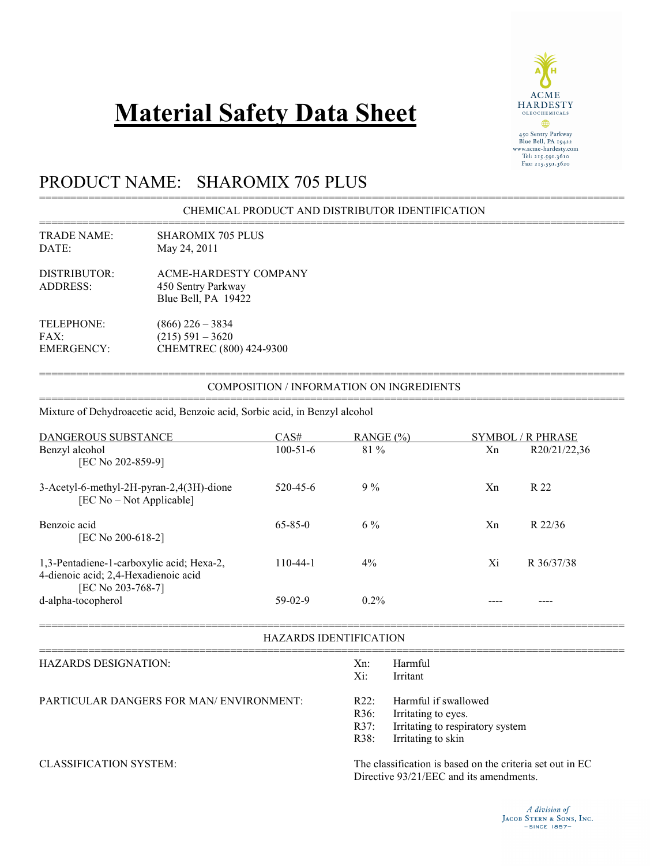# **Material Safety Data Sheet**



## PRODUCT NAME: SHAROMIX 705 PLUS

Mixture of Dehydroacetic acid, Benzoic acid, Sorbic acid, in Benzyl alcohol

=============================================================================================== CHEMICAL PRODUCT AND DISTRIBUTOR IDENTIFICATION

=============================================================================================== TRADE NAME: SHAROMIX 705 PLUS<br>DATE: May 24, 2011 May 24, 2011

DISTRIBUTOR: ACME-HARDESTY COMPANY ADDRESS: 450 Sentry Parkway Blue Bell, PA 19422

TELEPHONE: (866) 226 – 3834 FAX:  $(215) 591 - 3620$ EMERGENCY: CHEMTREC (800) 424-9300

=============================================================================================== COMPOSITION / INFORMATION ON INGREDIENTS ===============================================================================================

| DANGEROUS SUBSTANCE                                                               | CAS#           | RANGE $(\% )$ | SYMBOL / R PHRASE |              |
|-----------------------------------------------------------------------------------|----------------|---------------|-------------------|--------------|
| Benzyl alcohol<br>[EC No 202-859-9]                                               | $100 - 51 - 6$ | 81 %          | Xn                | R20/21/22,36 |
| 3-Acetyl-6-methyl-2H-pyran-2,4(3H)-dione<br>[EC No – Not Applicable]              | 520-45-6       | $9\%$         | Xn                | R 22         |
| Benzoic acid<br>[EC No 200-618-2]                                                 | $65 - 85 - 0$  | $6\%$         | Xn                | R 22/36      |
| 1,3-Pentadiene-1-carboxylic acid; Hexa-2,<br>4-dienoic acid; 2,4-Hexadienoic acid | $110-44-1$     | $4\%$         | Xi                | R 36/37/38   |
| [EC No 203-768-7]<br>d-alpha-tocopherol                                           | 59-02-9        | $0.2\%$       |                   |              |

===============================================================================================

| <b>HAZARDS IDENTIFICATION</b>                   |               |                                                                                                                 |  |
|-------------------------------------------------|---------------|-----------------------------------------------------------------------------------------------------------------|--|
| HAZARDS DESIGNATION:                            | $Xn$ :<br>Xi: | Harmful<br>Irritant                                                                                             |  |
| <b>PARTICULAR DANGERS FOR MAN/ ENVIRONMENT:</b> | R22<br>R38:   | Harmful if swallowed<br>R36: Irritating to eyes.<br>R37: Irritating to respiratory system<br>Irritating to skin |  |

CLASSIFICATION SYSTEM: The classification is based on the criteria set out in EC Directive 93/21/EEC and its amendments.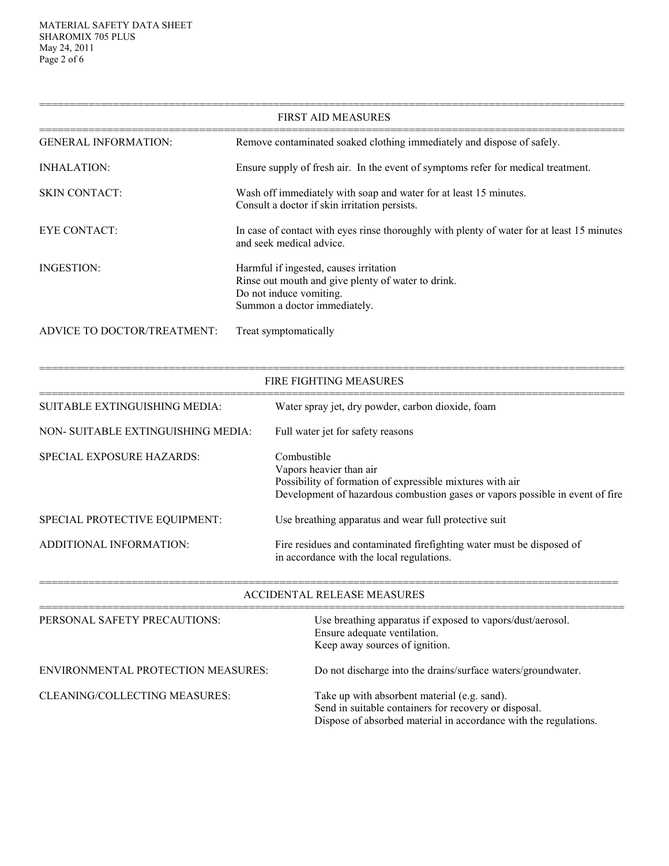| <b>FIRST AID MEASURES</b>   |                                                                                                                                                         |  |  |
|-----------------------------|---------------------------------------------------------------------------------------------------------------------------------------------------------|--|--|
| <b>GENERAL INFORMATION:</b> | Remove contaminated soaked clothing immediately and dispose of safely.                                                                                  |  |  |
| INHALATION:                 | Ensure supply of fresh air. In the event of symptoms refer for medical treatment.                                                                       |  |  |
| <b>SKIN CONTACT:</b>        | Wash off immediately with soap and water for at least 15 minutes.<br>Consult a doctor if skin irritation persists.                                      |  |  |
| EYE CONTACT:                | In case of contact with eyes rinse thoroughly with plenty of water for at least 15 minutes<br>and seek medical advice.                                  |  |  |
| INGESTION:                  | Harmful if ingested, causes irritation<br>Rinse out mouth and give plenty of water to drink.<br>Do not induce vomiting.<br>Summon a doctor immediately. |  |  |
| ADVICE TO DOCTOR/TREATMENT: | Treat symptomatically                                                                                                                                   |  |  |

|                                    | <b>FIRE FIGHTING MEASURES</b>                                                                                                                                                        |  |
|------------------------------------|--------------------------------------------------------------------------------------------------------------------------------------------------------------------------------------|--|
| SUITABLE EXTINGUISHING MEDIA:      | Water spray jet, dry powder, carbon dioxide, foam                                                                                                                                    |  |
| NON-SUITABLE EXTINGUISHING MEDIA:  | Full water jet for safety reasons                                                                                                                                                    |  |
| <b>SPECIAL EXPOSURE HAZARDS:</b>   | Combustible<br>Vapors heavier than air<br>Possibility of formation of expressible mixtures with air<br>Development of hazardous combustion gases or vapors possible in event of fire |  |
| SPECIAL PROTECTIVE EQUIPMENT:      | Use breathing apparatus and wear full protective suit                                                                                                                                |  |
| ADDITIONAL INFORMATION:            | Fire residues and contaminated firefighting water must be disposed of<br>in accordance with the local regulations.                                                                   |  |
| <b>ACCIDENTAL RELEASE MEASURES</b> |                                                                                                                                                                                      |  |

| PERSONAL SAFETY PRECAUTIONS:              | Use breathing apparatus if exposed to vapors/dust/aerosol.<br>Ensure adequate ventilation.<br>Keep away sources of ignition.                                              |
|-------------------------------------------|---------------------------------------------------------------------------------------------------------------------------------------------------------------------------|
| <b>ENVIRONMENTAL PROTECTION MEASURES:</b> | Do not discharge into the drains/surface waters/groundwater.                                                                                                              |
| CLEANING/COLLECTING MEASURES:             | Take up with absorbent material (e.g. sand).<br>Send in suitable containers for recovery or disposal.<br>Dispose of absorbed material in accordance with the regulations. |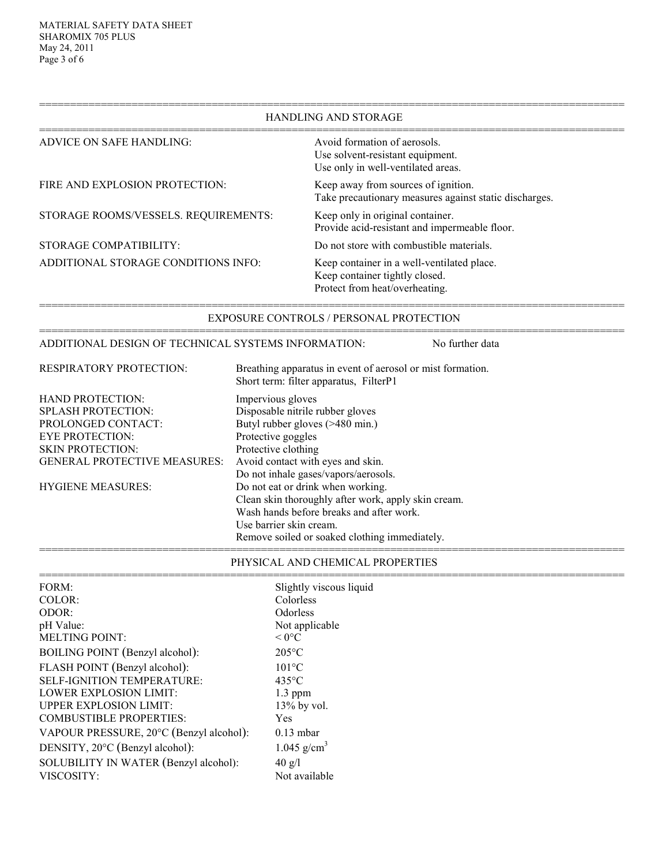### =============================================================================================== HANDLING AND STORAGE =============================================================================================== ADVICE ON SAFE HANDLING: Avoid formation of aerosols. Use solvent-resistant equipment. Use only in well-ventilated areas. FIRE AND EXPLOSION PROTECTION: Keep away from sources of ignition. Take precautionary measures against static discharges. STORAGE ROOMS/VESSELS. REQUIREMENTS: Keep only in original container. Provide acid-resistant and impermeable floor. STORAGE COMPATIBILITY: Do not store with combustible materials. ADDITIONAL STORAGE CONDITIONS INFO: Keep container in a well-ventilated place. Keep container tightly closed. Protect from heat/overheating. =============================================================================================== EXPOSURE CONTROLS / PERSONAL PROTECTION =============================================================================================== ADDITIONAL DESIGN OF TECHNICAL SYSTEMS INFORMATION: No further data

RESPIRATORY PROTECTION: Breathing apparatus in event of aerosol or mist formation. Short term: filter apparatus, FilterP1 HAND PROTECTION: Impervious gloves SPLASH PROTECTION: Disposable nitrile rubber gloves PROLONGED CONTACT: Butyl rubber gloves (>480 min.) EYE PROTECTION: Protective goggles SKIN PROTECTION: Protective clothing GENERAL PROTECTIVE MEASURES: Avoid contact with eyes and skin. Do not inhale gases/vapors/aerosols. HYGIENE MEASURES: Do not eat or drink when working. Clean skin thoroughly after work, apply skin cream. Wash hands before breaks and after work. Use barrier skin cream. Remove soiled or soaked clothing immediately. ===============================================================================================

#### PHYSICAL AND CHEMICAL PROPERTIES

=============================================================================================== FORM: Slightly viscous liquid COLOR: Colorless ODOR: Odorless pH Value: Not applicable MELTING POINT:  $< 0^{\circ}C$ BOILING POINT (Benzyl alcohol): 205 °C FLASH POINT (Benzyl alcohol): 101°C<br>SELF-IGNITION TEMPERATURE: 435°C SELF-IGNITION TEMPERATURE: LOWER EXPLOSION LIMIT: 1.3 ppm UPPER EXPLOSION LIMIT: 13% by vol. COMBUSTIBLE PROPERTIES: Yes VAPOUR PRESSURE, 20°C (Benzyl alcohol): 0.13 mbar DENSITY,  $20^{\circ}$ C (Benzyl alcohol): 1.045 g/cm<sup>3</sup> SOLUBILITY IN WATER (Benzyl alcohol): 40 g/l VISCOSITY: Not available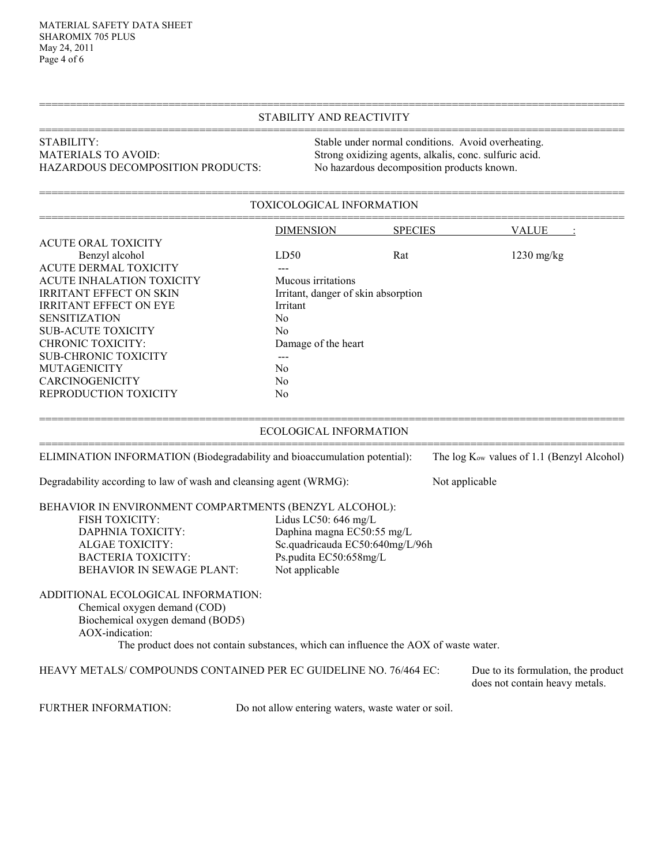#### =============================================================================================== STABILITY AND REACTIVITY ===============================================================================================

## STABILITY:<br>
Stable under normal conditions. Avoid overheating.<br>
Strong oxidizing agents, alkalis, conc. sulfuric acid. HAZARDOUS DECOMPOSITION PRODUCTS: No hazardous decomposition products known.

Strong oxidizing agents, alkalis, conc. sulfuric acid.

#### =============================================================================================== TOXICOLOGICAL INFORMATION

|                                                                           | <b>DIMENSION</b>              | <b>SPECIES</b>                      | <b>VALUE</b>                                           |  |  |
|---------------------------------------------------------------------------|-------------------------------|-------------------------------------|--------------------------------------------------------|--|--|
| <b>ACUTE ORAL TOXICITY</b>                                                |                               |                                     |                                                        |  |  |
| Benzyl alcohol                                                            | LD50                          | Rat                                 | $1230$ mg/kg                                           |  |  |
| <b>ACUTE DERMAL TOXICITY</b>                                              |                               |                                     |                                                        |  |  |
| ACUTE INHALATION TOXICITY                                                 | Mucous irritations            |                                     |                                                        |  |  |
| <b>IRRITANT EFFECT ON SKIN</b>                                            |                               | Irritant, danger of skin absorption |                                                        |  |  |
| <b>IRRITANT EFFECT ON EYE</b><br>Irritant                                 |                               |                                     |                                                        |  |  |
| <b>SENSITIZATION</b><br>N <sub>0</sub>                                    |                               |                                     |                                                        |  |  |
| <b>SUB-ACUTE TOXICITY</b><br>N <sub>0</sub>                               |                               |                                     |                                                        |  |  |
| <b>CHRONIC TOXICITY:</b><br>Damage of the heart                           |                               |                                     |                                                        |  |  |
| <b>SUB-CHRONIC TOXICITY</b>                                               |                               |                                     |                                                        |  |  |
| <b>MUTAGENICITY</b>                                                       | N <sub>0</sub>                |                                     |                                                        |  |  |
| <b>CARCINOGENICITY</b>                                                    | N <sub>0</sub>                |                                     |                                                        |  |  |
| REPRODUCTION TOXICITY<br>N <sub>0</sub>                                   |                               |                                     |                                                        |  |  |
|                                                                           | <b>ECOLOGICAL INFORMATION</b> |                                     |                                                        |  |  |
| ELIMINATION INFORMATION (Biodegradability and bioaccumulation potential): |                               |                                     | The log K <sub>ow</sub> values of 1.1 (Benzyl Alcohol) |  |  |
| Degradability according to law of wash and cleansing agent (WRMG):        |                               |                                     | Not applicable                                         |  |  |
| <b>DEILLUIOD IN ENRUDONNENTE COMBA DEMENTE (DEMENTA AL COHOL).</b>        |                               |                                     |                                                        |  |  |

|                       | BEHAVIOR IN ENVIRONMENT COMPARTMENTS (BENZYL ALCOHOL): |
|-----------------------|--------------------------------------------------------|
| <b>FISH TOXICITY:</b> | Lidus LC50: $646 \text{ mg/L}$                         |
| DAPHNIA TOXICITY:     | Daphina magna EC50:55 mg/L                             |
| ALGAE TOXICITY:       | Sc.quadricauda EC50:640mg/L/96h                        |

BACTERIA TOXICITY: Ps.pudita EC50:658mg/L<br>BEHAVIOR IN SEWAGE PLANT: Not applicable BEHAVIOR IN SEWAGE PLANT:

ADDITIONAL ECOLOGICAL INFORMATION: Chemical oxygen demand (COD)

Biochemical oxygen demand (BOD5) AOX-indication:

The product does not contain substances, which can influence the AOX of waste water.

HEAVY METALS/ COMPOUNDS CONTAINED PER EC GUIDELINE NO. 76/464 EC: Due to its formulation, the product

does not contain heavy metals.

FURTHER INFORMATION: Do not allow entering waters, waste water or soil.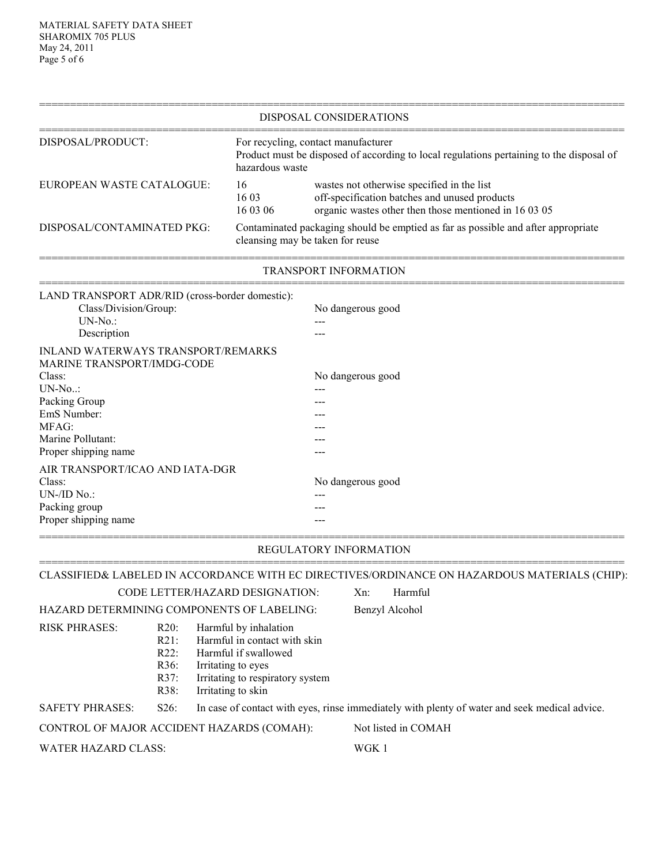|                                                                                                                                                                                                                                                |                                                    |                                                                                                                                                               |                                                                                                                                                      | DISPOSAL CONSIDERATIONS                                                                                      |  |  |
|------------------------------------------------------------------------------------------------------------------------------------------------------------------------------------------------------------------------------------------------|----------------------------------------------------|---------------------------------------------------------------------------------------------------------------------------------------------------------------|------------------------------------------------------------------------------------------------------------------------------------------------------|--------------------------------------------------------------------------------------------------------------|--|--|
| DISPOSAL/PRODUCT:                                                                                                                                                                                                                              |                                                    |                                                                                                                                                               | For recycling, contact manufacturer<br>Product must be disposed of according to local regulations pertaining to the disposal of<br>hazardous waste   |                                                                                                              |  |  |
| EUROPEAN WASTE CATALOGUE:<br>16<br>1603<br>16 03 06                                                                                                                                                                                            |                                                    |                                                                                                                                                               | wastes not otherwise specified in the list<br>off-specification batches and unused products<br>organic wastes other then those mentioned in 16 03 05 |                                                                                                              |  |  |
| DISPOSAL/CONTAMINATED PKG:<br>cleansing may be taken for reuse                                                                                                                                                                                 |                                                    |                                                                                                                                                               |                                                                                                                                                      | Contaminated packaging should be emptied as far as possible and after appropriate                            |  |  |
|                                                                                                                                                                                                                                                |                                                    |                                                                                                                                                               |                                                                                                                                                      | TRANSPORT INFORMATION                                                                                        |  |  |
| LAND TRANSPORT ADR/RID (cross-border domestic):<br>Class/Division/Group:<br>$UN-No.$ :<br>Description                                                                                                                                          |                                                    |                                                                                                                                                               |                                                                                                                                                      | No dangerous good                                                                                            |  |  |
| <b>INLAND WATERWAYS TRANSPORT/REMARKS</b><br>MARINE TRANSPORT/IMDG-CODE<br>Class:<br>$UN-No$<br>Packing Group<br>EmS Number:<br>MFAG:<br>Marine Pollutant:<br>Proper shipping name<br>AIR TRANSPORT/ICAO AND IATA-DGR<br>Class:<br>UN-/ID No.: |                                                    |                                                                                                                                                               |                                                                                                                                                      | No dangerous good<br>No dangerous good                                                                       |  |  |
| Packing group<br>Proper shipping name                                                                                                                                                                                                          |                                                    |                                                                                                                                                               |                                                                                                                                                      |                                                                                                              |  |  |
|                                                                                                                                                                                                                                                |                                                    |                                                                                                                                                               |                                                                                                                                                      | REGULATORY INFORMATION                                                                                       |  |  |
|                                                                                                                                                                                                                                                |                                                    | CODE LETTER/HAZARD DESIGNATION:                                                                                                                               |                                                                                                                                                      | CLASSIFIED& LABELED IN ACCORDANCE WITH EC DIRECTIVES/ORDINANCE ON HAZARDOUS MATERIALS (CHIP):<br>Xn: Harmful |  |  |
| HAZARD DETERMINING COMPONENTS OF LABELING:                                                                                                                                                                                                     |                                                    |                                                                                                                                                               |                                                                                                                                                      | Benzyl Alcohol                                                                                               |  |  |
| <b>RISK PHRASES:</b>                                                                                                                                                                                                                           | $R20$ :<br>$R21$ :<br>R22:<br>R36:<br>R37:<br>R38: | Harmful by inhalation<br>Harmful in contact with skin<br>Harmful if swallowed<br>Irritating to eyes<br>Irritating to respiratory system<br>Irritating to skin |                                                                                                                                                      |                                                                                                              |  |  |
| <b>SAFETY PHRASES:</b>                                                                                                                                                                                                                         | S26:                                               |                                                                                                                                                               |                                                                                                                                                      | In case of contact with eyes, rinse immediately with plenty of water and seek medical advice.                |  |  |
| CONTROL OF MAJOR ACCIDENT HAZARDS (COMAH):                                                                                                                                                                                                     |                                                    |                                                                                                                                                               |                                                                                                                                                      | Not listed in COMAH                                                                                          |  |  |
| <b>WATER HAZARD CLASS:</b>                                                                                                                                                                                                                     |                                                    |                                                                                                                                                               | WGK 1                                                                                                                                                |                                                                                                              |  |  |